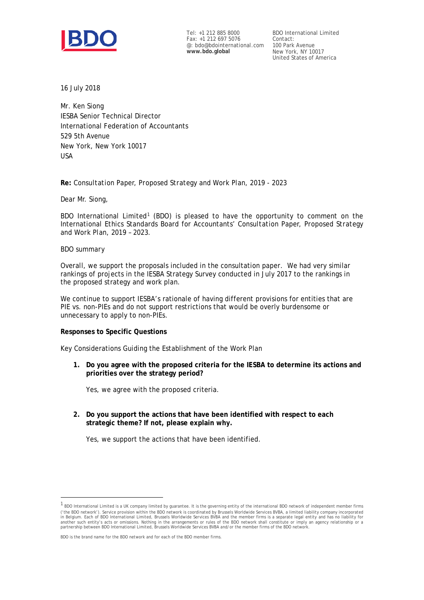

Tel: +1 212 885 8000 Fax: +1 212 697 5076 @: bdo@bdointernational.com **www.bdo.global**

BDO International Limited Contact: 100 Park Avenue New York, NY 10017 United States of America

16 July 2018

Mr. Ken Siong IESBA Senior Technical Director International Federation of Accountants 529 5th Avenue New York, New York 10017 USA

## **Re:** *Consultation Paper, Proposed Strategy and Work Plan, 2019 - 2023*

Dear Mr. Siong,

BDO International Limited<sup>[1](#page-0-0)</sup> (BDO) is pleased to have the opportunity to comment on the International Ethics Standards Board for Accountants' *Consultation Paper, Proposed Strategy and Work Plan, 2019 – 2023.*

## *BDO summary*

-

Overall, we support the proposals included in the consultation paper. We had very similar rankings of projects in the IESBA Strategy Survey conducted in July 2017 to the rankings in the proposed strategy and work plan.

We continue to support IESBA's rationale of having different provisions for entities that are PIE vs. non-PIEs and do not support restrictions that would be overly burdensome or unnecessary to apply to non-PIEs.

## **Responses to Specific Questions**

Key Considerations Guiding the Establishment of the Work Plan

**1. Do you agree with the proposed criteria for the IESBA to determine its actions and priorities over the strategy period?**

Yes, we agree with the proposed criteria.

**2. Do you support the actions that have been identified with respect to each strategic theme? If not, please explain why.**

Yes, we support the actions that have been identified.

BDO is the brand name for the BDO network and for each of the BDO member firms.

<span id="page-0-0"></span> $1$  BDO International Limited is a UK company limited by guarantee. It is the governing entity of the international BDO network of independent member firms ('the BDO network'). Service provision within the BDO network is coordinated by Brussels Worldwide Services BVBA, a limited liability company incorporated in Belgium. Each of BDO International Limited, Brussels Worldwide Services BVBA and the member firms is a separate legal entity and has no liability for<br>another such entity's acts or omissions. Nothing in the arrangements